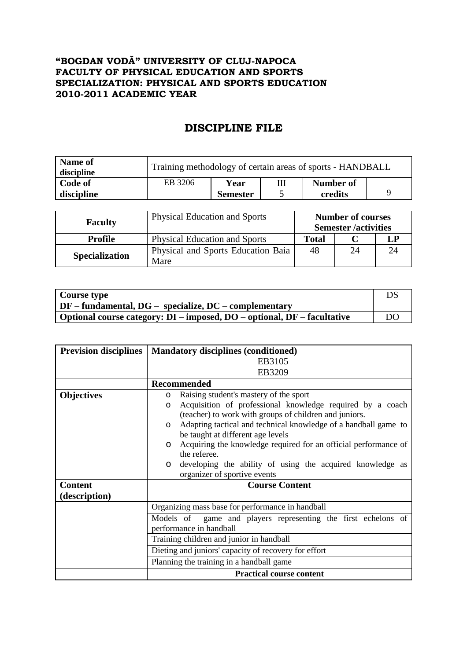## **"BOGDAN VODĂ" UNIVERSITY OF CLUJ-NAPOCA FACULTY OF PHYSICAL EDUCATION AND SPORTS SPECIALIZATION: PHYSICAL AND SPORTS EDUCATION 2010-2011 ACADEMIC YEAR**

## **DISCIPLINE FILE**

| Name of<br>discipline | Training methodology of certain areas of sports - HANDBALL |                 |  |           |  |
|-----------------------|------------------------------------------------------------|-----------------|--|-----------|--|
| Code of               | EB 3206                                                    | Year            |  | Number of |  |
| discipline            |                                                            | <b>Semester</b> |  | credits   |  |

| <b>Faculty</b>        | <b>Physical Education and Sports</b>       | <b>Number of courses</b><br><b>Semester</b> /activities |    |  |
|-----------------------|--------------------------------------------|---------------------------------------------------------|----|--|
| <b>Profile</b>        | <b>Physical Education and Sports</b>       | Total                                                   |    |  |
| <b>Specialization</b> | Physical and Sports Education Baia<br>Mare | 48                                                      | 24 |  |

| Course type                                                             | ĎS |
|-------------------------------------------------------------------------|----|
| $\vert$ DF – fundamental, DG – specialize, DC – complementary           |    |
| Optional course category: DI – imposed, DO – optional, DF – facultative | DO |

| <b>Prevision disciplines</b> | <b>Mandatory disciplines (conditioned)</b>                                 |  |  |  |  |  |
|------------------------------|----------------------------------------------------------------------------|--|--|--|--|--|
|                              | EB3105                                                                     |  |  |  |  |  |
|                              | EB3209                                                                     |  |  |  |  |  |
|                              | <b>Recommended</b>                                                         |  |  |  |  |  |
| <b>Objectives</b>            | Raising student's mastery of the sport<br>$\circ$                          |  |  |  |  |  |
|                              | Acquisition of professional knowledge required by a coach<br>$\circ$       |  |  |  |  |  |
|                              | (teacher) to work with groups of children and juniors.                     |  |  |  |  |  |
|                              | Adapting tactical and technical knowledge of a handball game to<br>$\circ$ |  |  |  |  |  |
|                              | be taught at different age levels                                          |  |  |  |  |  |
|                              | Acquiring the knowledge required for an official performance of<br>$\circ$ |  |  |  |  |  |
|                              | the referee.                                                               |  |  |  |  |  |
|                              | developing the ability of using the acquired knowledge as<br>$\circ$       |  |  |  |  |  |
|                              | organizer of sportive events                                               |  |  |  |  |  |
| <b>Content</b>               | <b>Course Content</b>                                                      |  |  |  |  |  |
| (description)                |                                                                            |  |  |  |  |  |
|                              | Organizing mass base for performance in handball                           |  |  |  |  |  |
|                              | game and players representing the first echelons of<br>Models of           |  |  |  |  |  |
|                              | performance in handball                                                    |  |  |  |  |  |
|                              | Training children and junior in handball                                   |  |  |  |  |  |
|                              | Dieting and juniors' capacity of recovery for effort                       |  |  |  |  |  |
|                              | Planning the training in a handball game                                   |  |  |  |  |  |
|                              | <b>Practical course content</b>                                            |  |  |  |  |  |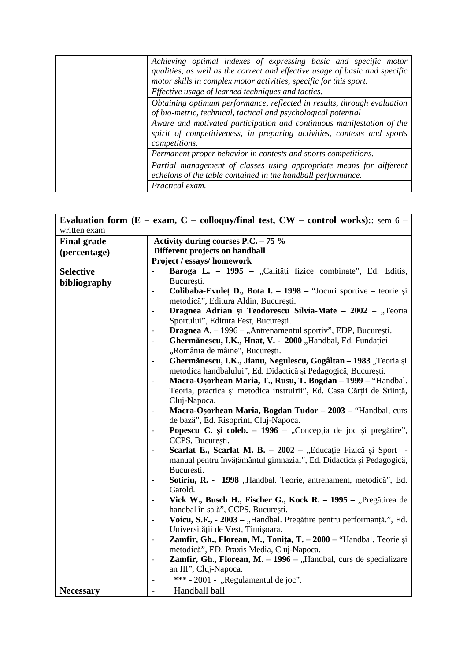|                                                                                                                                                                   | Achieving optimal indexes of expressing basic and specific motor<br>qualities, as well as the correct and effective usage of basic and specific<br>motor skills in complex motor activities, specific for this sport. |  |  |
|-------------------------------------------------------------------------------------------------------------------------------------------------------------------|-----------------------------------------------------------------------------------------------------------------------------------------------------------------------------------------------------------------------|--|--|
|                                                                                                                                                                   | Effective usage of learned techniques and tactics.                                                                                                                                                                    |  |  |
|                                                                                                                                                                   | Obtaining optimum performance, reflected in results, through evaluation<br>of bio-metric, technical, tactical and psychological potential                                                                             |  |  |
| Aware and motivated participation and continuous manifestation of the<br>spirit of competitiveness, in preparing activities, contests and sports<br>competitions. |                                                                                                                                                                                                                       |  |  |
|                                                                                                                                                                   | Permanent proper behavior in contests and sports competitions.                                                                                                                                                        |  |  |
|                                                                                                                                                                   | Partial management of classes using appropriate means for different<br>echelons of the table contained in the handball performance.                                                                                   |  |  |
|                                                                                                                                                                   | Practical exam.                                                                                                                                                                                                       |  |  |

|                    | Evaluation form ( $E - e$ xam, $C - colloquy/final$ test, $CW - control$ works):: sem 6 -           |  |  |  |
|--------------------|-----------------------------------------------------------------------------------------------------|--|--|--|
| written exam       |                                                                                                     |  |  |  |
| <b>Final grade</b> | Activity during courses P.C. $-75\%$                                                                |  |  |  |
| (percentage)       | Different projects on handball                                                                      |  |  |  |
|                    | Project / essays/ homework                                                                          |  |  |  |
| <b>Selective</b>   | Baroga L. - 1995 - "Calități fizice combinate", Ed. Editis,                                         |  |  |  |
| bibliography       | București.                                                                                          |  |  |  |
|                    | Colibaba-Evulet D., Bota I. - 1998 - "Jocuri sportive - teorie și                                   |  |  |  |
|                    | metodică", Editura Aldin, București.                                                                |  |  |  |
|                    | Dragnea Adrian și Teodorescu Silvia-Mate – 2002 – "Teoria                                           |  |  |  |
|                    | Sportului", Editura Fest, București.                                                                |  |  |  |
|                    | Dragnea A. - 1996 - "Antrenamentul sportiv", EDP, București.                                        |  |  |  |
|                    | Ghermănescu, I.K., Hnat, V. - 2000 "Handbal, Ed. Fundației                                          |  |  |  |
|                    | "România de mâine", București.                                                                      |  |  |  |
|                    | Ghermănescu, I.K., Jianu, Negulescu, Gogâltan - 1983 "Teoria și<br>$\overline{\phantom{0}}$         |  |  |  |
|                    | metodica handbalului", Ed. Didactică și Pedagogică, București.                                      |  |  |  |
|                    | Macra-Osorhean Maria, T., Rusu, T. Bogdan - 1999 - "Handbal.<br>$\overline{\phantom{0}}$            |  |  |  |
|                    | Teoria, practica și metodica instruirii", Ed. Casa Cărții de Știință,                               |  |  |  |
|                    | Cluj-Napoca.                                                                                        |  |  |  |
|                    | Macra-Osorhean Maria, Bogdan Tudor - 2003 - "Handbal, curs<br>$\overline{\phantom{a}}$              |  |  |  |
|                    | de bază", Ed. Risoprint, Cluj-Napoca.                                                               |  |  |  |
|                    | Popescu C. și coleb. – 1996 – "Concepția de joc și pregătire",<br>$\overline{\phantom{a}}$          |  |  |  |
|                    | CCPS, București.<br>Scarlat E., Scarlat M. B. – 2002 – "Educație Fizică și Sport                    |  |  |  |
|                    | $\qquad \qquad \blacksquare$<br>manual pentru învățământul gimnazial", Ed. Didactică și Pedagogică, |  |  |  |
|                    | București.                                                                                          |  |  |  |
|                    | Sotiriu, R. - 1998 "Handbal. Teorie, antrenament, metodică", Ed.<br>$\overline{\phantom{0}}$        |  |  |  |
|                    | Garold.                                                                                             |  |  |  |
|                    | Vick W., Busch H., Fischer G., Kock R. – 1995 – "Pregătirea de                                      |  |  |  |
|                    | handbal în sală", CCPS, București.                                                                  |  |  |  |
|                    | Voicu, S.F., - 2003 – "Handbal. Pregătire pentru performanță.", Ed.                                 |  |  |  |
|                    | Universității de Vest, Timișoara.                                                                   |  |  |  |
|                    | Zamfir, Gh., Florean, M., Tonița, T. - 2000 - "Handbal. Teorie și                                   |  |  |  |
|                    | metodică", ED. Praxis Media, Cluj-Napoca.                                                           |  |  |  |
|                    | Zamfir, Gh., Florean, M. - 1996 - "Handbal, curs de specializare<br>$\qquad \qquad -$               |  |  |  |
|                    | an III", Cluj-Napoca.                                                                               |  |  |  |
|                    | *** - 2001 - "Regulamentul de joc".                                                                 |  |  |  |
| <b>Necessary</b>   | Handball ball<br>$\overline{a}$                                                                     |  |  |  |